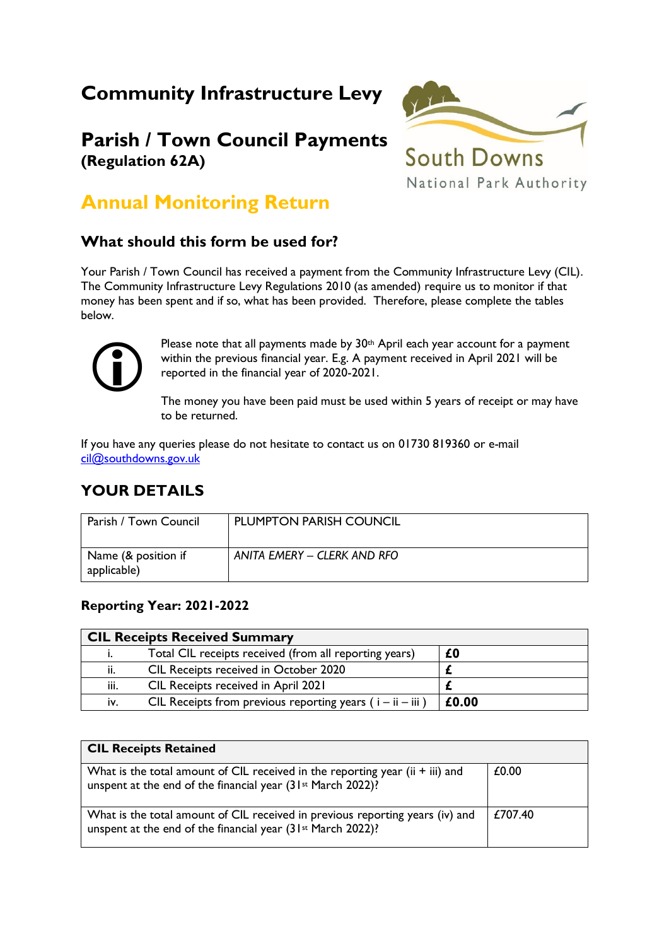# **Community Infrastructure Levy**

## **Parish / Town Council Payments (Regulation 62A)**



## **Annual Monitoring Return**

### **What should this form be used for?**

Your Parish / Town Council has received a payment from the Community Infrastructure Levy (CIL). The Community Infrastructure Levy Regulations 2010 (as amended) require us to monitor if that money has been spent and if so, what has been provided. Therefore, please complete the tables below.



Please note that all payments made by 30<sup>th</sup> April each year account for a payment within the previous financial year. E.g. A payment received in April 2021 will be reported in the financial year of 2020-2021.

The money you have been paid must be used within 5 years of receipt or may have to be returned.

If you have any queries please do not hesitate to contact us on 01730 819360 or e-mail [cil@southdowns.gov.uk](mailto:cil@southdowns.gov.uk)

### **YOUR DETAILS**

| Parish / Town Council              | <b>PLUMPTON PARISH COUNCIL</b> |
|------------------------------------|--------------------------------|
| Name (& position if<br>applicable) | ANITA EMERY - CLERK AND RFO    |

#### **Reporting Year: 2021-2022**

| <b>CIL Receipts Received Summary</b> |                                                               |       |
|--------------------------------------|---------------------------------------------------------------|-------|
|                                      | Total CIL receipts received (from all reporting years)        | £0    |
| ii.                                  | CIL Receipts received in October 2020                         |       |
| iii.                                 | CIL Receipts received in April 2021                           |       |
| iv.                                  | CIL Receipts from previous reporting years ( $i - ii - iii$ ) | £0.00 |

| <b>CIL Receipts Retained</b>                                                                                                                             |         |
|----------------------------------------------------------------------------------------------------------------------------------------------------------|---------|
| What is the total amount of CIL received in the reporting year (ii + iii) and<br>unspent at the end of the financial year (31 <sup>st</sup> March 2022)? | £0.00   |
| What is the total amount of CIL received in previous reporting years (iv) and<br>unspent at the end of the financial year (31 <sup>st</sup> March 2022)? | £707.40 |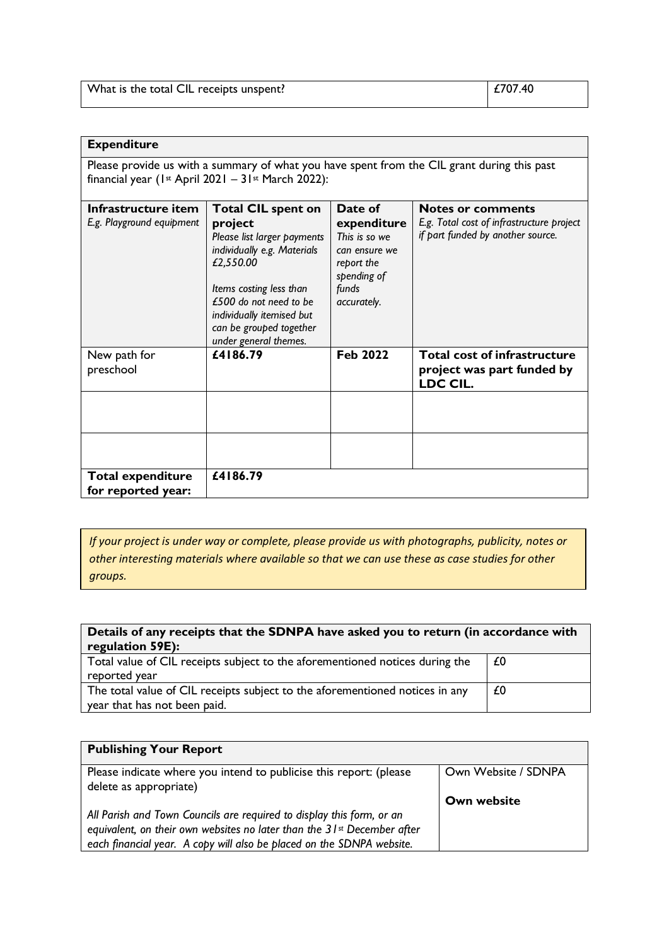| $ $ £707.40<br>What is the total CIL receipts unspent? |
|--------------------------------------------------------|
|--------------------------------------------------------|

#### **Expenditure**

Please provide us with a summary of what you have spent from the CIL grant during this past financial year (1st April 2021 –  $31st$  March 2022):

| Infrastructure item       | <b>Total CIL spent on</b>                           | Date of                   | <b>Notes or comments</b>                  |
|---------------------------|-----------------------------------------------------|---------------------------|-------------------------------------------|
| E.g. Playground equipment | project                                             | expenditure               | E.g. Total cost of infrastructure project |
|                           | Please list larger payments                         | This is so we             | if part funded by another source.         |
|                           | individually e.g. Materials                         | can ensure we             |                                           |
|                           | £2,550.00                                           | report the<br>spending of |                                           |
|                           | Items costing less than                             | funds                     |                                           |
|                           | £500 do not need to be<br>individually itemised but | accurately.               |                                           |
|                           | can be grouped together                             |                           |                                           |
|                           | under general themes.                               |                           |                                           |
| New path for              | £4186.79                                            | <b>Feb 2022</b>           | <b>Total cost of infrastructure</b>       |
| preschool                 |                                                     |                           | project was part funded by<br>LDC CIL.    |
|                           |                                                     |                           |                                           |
|                           |                                                     |                           |                                           |
|                           |                                                     |                           |                                           |
|                           |                                                     |                           |                                           |
| <b>Total expenditure</b>  | £4186.79                                            |                           |                                           |
| for reported year:        |                                                     |                           |                                           |

*If your project is under way or complete, please provide us with photographs, publicity, notes or other interesting materials where available so that we can use these as case studies for other groups.* 

| Details of any receipts that the SDNPA have asked you to return (in accordance with<br>regulation 59E):      |    |  |
|--------------------------------------------------------------------------------------------------------------|----|--|
| Total value of CIL receipts subject to the aforementioned notices during the<br>reported year                | £0 |  |
| The total value of CIL receipts subject to the aforementioned notices in any<br>year that has not been paid. | £0 |  |

| <b>Publishing Your Report</b>                                                                |                     |
|----------------------------------------------------------------------------------------------|---------------------|
| Please indicate where you intend to publicise this report: (please<br>delete as appropriate) | Own Website / SDNPA |
|                                                                                              | Own website         |
| All Parish and Town Councils are required to display this form, or an                        |                     |
| equivalent, on their own websites no later than the 31 <sup>st</sup> December after          |                     |
| each financial year. A copy will also be placed on the SDNPA website.                        |                     |